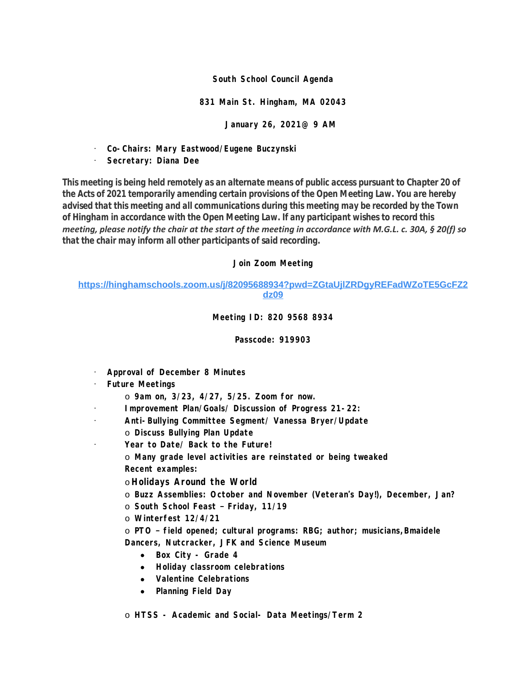#### **South School Council Agenda**

### **831 Main St. Hingham, MA 02043**

**January 26, 2021@ 9 AM**

· **Co-Chairs: Mary Eastwood/Eugene Buczynski**

# · **Secretary: Diana Dee**

*This meeting is being held remotely as an alternate means of public access pursuant to Chapter 20 of the Acts of 2021 temporarily amending certain provisions of the Open Meeting Law. You are hereby advised that this meeting and all communications during this meeting may be recorded by the Town of Hingham in accordance with the Open Meeting Law. If any participant wishes to record this meeting, please notify the chair at the start of the meeting in accordance with M.G.L. c. 30A, § 20(f) so that the chair may inform all other participants of said recording.*

## **Join Zoom Meeting**

# **[https://hinghamschools.zoom.us/j/82095688934?pwd=ZGtaUjlZRDgyREFadWZoTE5GcFZ2](https://hinghamschools.zoom.us/j/82095688934?pwd=ZGtaUjlZRDgyREFadWZoTE5GcFZ2dz09) dz09**

## **Meeting ID: 820 9568 8934**

## **Passcode: 919903**

- · **Approval of December 8 Minutes**
- · **Future Meetings**
	- o **9am on, 3/23, 4/27, 5/25. Zoom for now.**
- · **Improvement Plan/Goals/ Discussion of Progress 21-22:**
- · **Anti-Bullying Committee Segment/ Vanessa Bryer/Update**
	- o **Discuss Bullying Plan Update**
- · **Year to Date/ Back to the Future!**
	- o **Many grade level activities are reinstated or being tweaked Recent examples:**
	- o **Holidays Around the World**
	- o **Buzz Assemblies: October and November (Veteran's Day!), December, Jan?**
	- o **South School Feast – Friday, 11/19**
	- o **Winterfest 12/4/21**
	- o **PTO – field opened; cultural programs: RBG; author; musicians,Bmaidele Dancers, Nutcracker, JFK and Science Museum**
		- **Box City Grade 4**
		- **Holiday classroom celebrations**
		- **Valentine Celebrations**
		- **Planning Field Day**
	- o **HTSS Academic and Social- Data Meetings/Term 2**